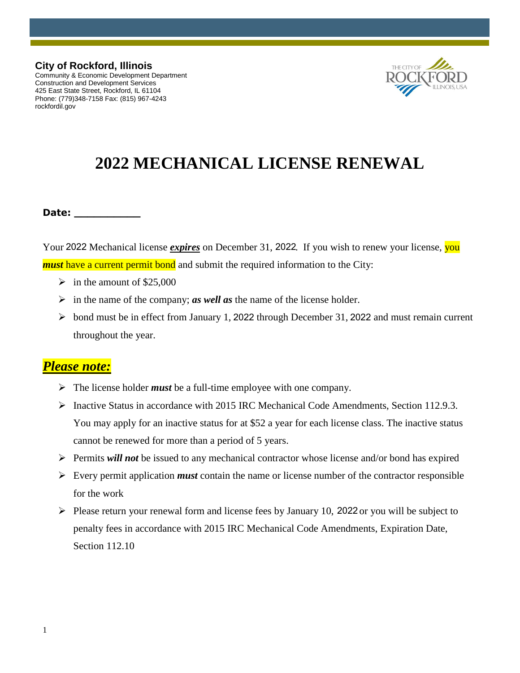#### **City of Rockford, Illinois** Community & Economic Development Department

Construction and Development Services 425 East State Street, Rockford, IL 61104 Phone: (779)348-7158 Fax: (815) 967-4243 rockfordil.gov



# **2022 MECHANICAL LICENSE RENEWAL**

#### **Date: \_\_\_\_\_\_\_\_\_\_**

Your 2022 Mechanical license *expires* on December 31, 2022. If you wish to renew your license, you *must* have a current permit bond and submit the required information to the City:

- $\geq$  in the amount of \$25,000
- $\triangleright$  in the name of the company; *as well as* the name of the license holder.
- $\triangleright$  bond must be in effect from January 1, 2022 through December 31, 2022 and must remain current throughout the year.

## *Please note:*

- $\triangleright$  The license holder *must* be a full-time employee with one company.
- Inactive Status in accordance with 2015 IRC Mechanical Code Amendments, Section 112.9.3. You may apply for an inactive status for at \$52 a year for each license class. The inactive status cannot be renewed for more than a period of 5 years.
- Permits *will not* be issued to any mechanical contractor whose license and/or bond has expired
- $\triangleright$  Every permit application *must* contain the name or license number of the contractor responsible for the work
- $\triangleright$  Please return your renewal form and license fees by January 10, 2022 or you will be subject to penalty fees in accordance with 2015 IRC Mechanical Code Amendments, Expiration Date, Section 112.10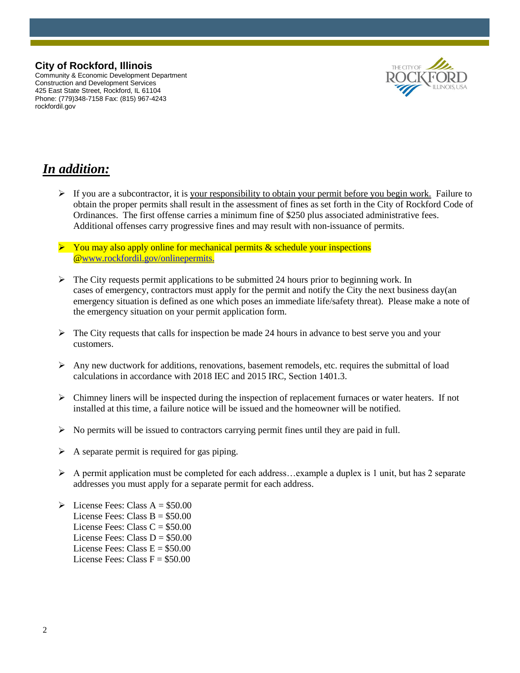### **City of Rockford, Illinois**

Community & Economic Development Department Construction and Development Services 425 East State Street, Rockford, IL 61104 Phone: (779)348-7158 Fax: (815) 967-4243 rockfordil.gov



# *In addition:*

- If you are a subcontractor, it is your responsibility to obtain your permit before you begin work. Failure to obtain the proper permits shall result in the assessment of fines as set forth in the City of Rockford Code of Ordinances. The first offense carries a minimum fine of \$250 plus associated administrative fees. Additional offenses carry progressive fines and may result with non-issuance of permits.
- $\triangleright$  You may also apply online for mechanical permits & schedule your inspections [@www.rockfordil.gov/onlinepermits.](http://www.rockfordil.gov/onlinepermits)
- $\triangleright$  The City requests permit applications to be submitted 24 hours prior to beginning work. In cases of emergency, contractors must apply for the permit and notify the City the next business day(an emergency situation is defined as one which poses an immediate life/safety threat). Please make a note of the emergency situation on your permit application form.
- $\triangleright$  The City requests that calls for inspection be made 24 hours in advance to best serve you and your customers.
- $\triangleright$  Any new ductwork for additions, renovations, basement remodels, etc. requires the submittal of load calculations in accordance with 2018 IEC and 2015 IRC, Section 1401.3.
- $\triangleright$  Chimney liners will be inspected during the inspection of replacement furnaces or water heaters. If not installed at this time, a failure notice will be issued and the homeowner will be notified.
- $\triangleright$  No permits will be issued to contractors carrying permit fines until they are paid in full.
- $\triangleright$  A separate permit is required for gas piping.
- $\triangleright$  A permit application must be completed for each address... example a duplex is 1 unit, but has 2 separate addresses you must apply for a separate permit for each address.
- $\triangleright$  License Fees: Class A = \$50.00 License Fees: Class  $B = $50.00$ License Fees: Class  $C = $50.00$ License Fees: Class  $D = $50.00$ License Fees: Class  $E = $50.00$ License Fees: Class  $F = $50.00$